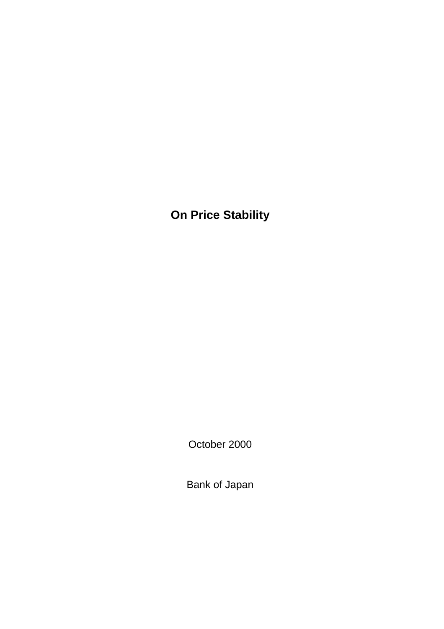**On Price Stability**

October 2000

Bank of Japan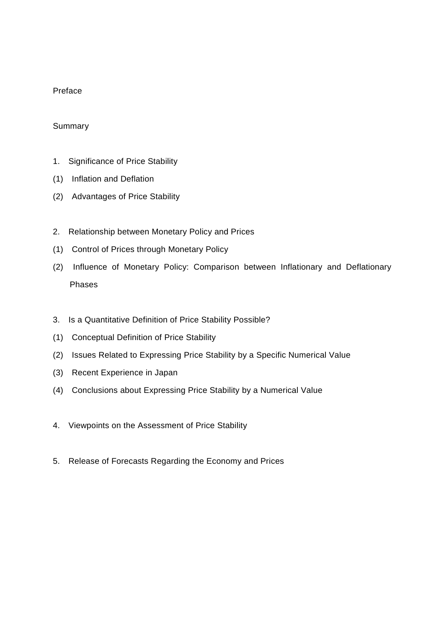## Preface

## Summary

- 1. Significance of Price Stability
- (1) Inflation and Deflation
- (2) Advantages of Price Stability
- 2. Relationship between Monetary Policy and Prices
- (1) Control of Prices through Monetary Policy
- (2) Influence of Monetary Policy: Comparison between Inflationary and Deflationary Phases
- 3. Is a Quantitative Definition of Price Stability Possible?
- (1) Conceptual Definition of Price Stability
- (2) Issues Related to Expressing Price Stability by a Specific Numerical Value
- (3) Recent Experience in Japan
- (4) Conclusions about Expressing Price Stability by a Numerical Value
- 4. Viewpoints on the Assessment of Price Stability
- 5. Release of Forecasts Regarding the Economy and Prices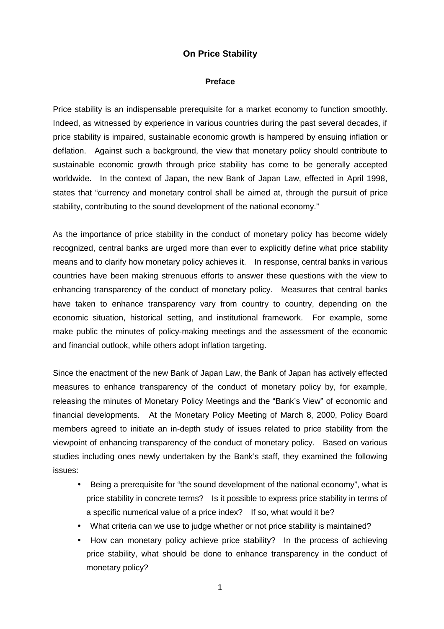# **On Price Stability**

#### **Preface**

Price stability is an indispensable prerequisite for a market economy to function smoothly. Indeed, as witnessed by experience in various countries during the past several decades, if price stability is impaired, sustainable economic growth is hampered by ensuing inflation or deflation. Against such a background, the view that monetary policy should contribute to sustainable economic growth through price stability has come to be generally accepted worldwide. In the context of Japan, the new Bank of Japan Law, effected in April 1998, states that "currency and monetary control shall be aimed at, through the pursuit of price stability, contributing to the sound development of the national economy."

As the importance of price stability in the conduct of monetary policy has become widely recognized, central banks are urged more than ever to explicitly define what price stability means and to clarify how monetary policy achieves it. In response, central banks in various countries have been making strenuous efforts to answer these questions with the view to enhancing transparency of the conduct of monetary policy. Measures that central banks have taken to enhance transparency vary from country to country, depending on the economic situation, historical setting, and institutional framework. For example, some make public the minutes of policy-making meetings and the assessment of the economic and financial outlook, while others adopt inflation targeting.

Since the enactment of the new Bank of Japan Law, the Bank of Japan has actively effected measures to enhance transparency of the conduct of monetary policy by, for example, releasing the minutes of Monetary Policy Meetings and the "Bank's View" of economic and financial developments. At the Monetary Policy Meeting of March 8, 2000, Policy Board members agreed to initiate an in-depth study of issues related to price stability from the viewpoint of enhancing transparency of the conduct of monetary policy. Based on various studies including ones newly undertaken by the Bank's staff, they examined the following issues:

- Being a prerequisite for "the sound development of the national economy", what is price stability in concrete terms? Is it possible to express price stability in terms of a specific numerical value of a price index? If so, what would it be?
- What criteria can we use to judge whether or not price stability is maintained?
- How can monetary policy achieve price stability? In the process of achieving price stability, what should be done to enhance transparency in the conduct of monetary policy?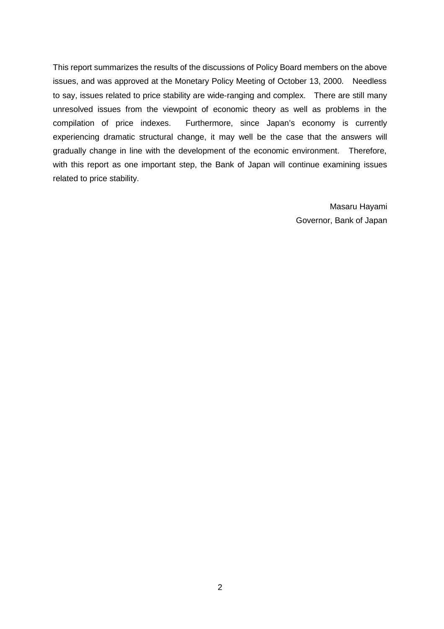This report summarizes the results of the discussions of Policy Board members on the above issues, and was approved at the Monetary Policy Meeting of October 13, 2000. Needless to say, issues related to price stability are wide-ranging and complex. There are still many unresolved issues from the viewpoint of economic theory as well as problems in the compilation of price indexes. Furthermore, since Japan's economy is currently experiencing dramatic structural change, it may well be the case that the answers will gradually change in line with the development of the economic environment. Therefore, with this report as one important step, the Bank of Japan will continue examining issues related to price stability.

> Masaru Hayami Governor, Bank of Japan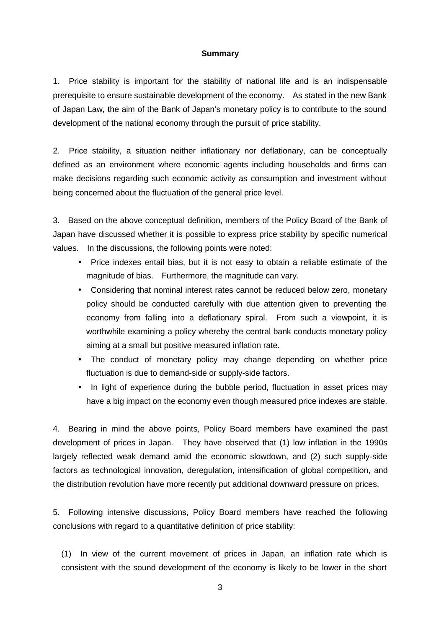### **Summary**

1. Price stability is important for the stability of national life and is an indispensable prerequisite to ensure sustainable development of the economy. As stated in the new Bank of Japan Law, the aim of the Bank of Japan's monetary policy is to contribute to the sound development of the national economy through the pursuit of price stability.

2. Price stability, a situation neither inflationary nor deflationary, can be conceptually defined as an environment where economic agents including households and firms can make decisions regarding such economic activity as consumption and investment without being concerned about the fluctuation of the general price level.

3. Based on the above conceptual definition, members of the Policy Board of the Bank of Japan have discussed whether it is possible to express price stability by specific numerical values. In the discussions, the following points were noted:

- Price indexes entail bias, but it is not easy to obtain a reliable estimate of the magnitude of bias. Furthermore, the magnitude can vary.
- Considering that nominal interest rates cannot be reduced below zero, monetary policy should be conducted carefully with due attention given to preventing the economy from falling into a deflationary spiral. From such a viewpoint, it is worthwhile examining a policy whereby the central bank conducts monetary policy aiming at a small but positive measured inflation rate.
- The conduct of monetary policy may change depending on whether price fluctuation is due to demand-side or supply-side factors.
- In light of experience during the bubble period, fluctuation in asset prices may have a big impact on the economy even though measured price indexes are stable.

4. Bearing in mind the above points, Policy Board members have examined the past development of prices in Japan. They have observed that (1) low inflation in the 1990s largely reflected weak demand amid the economic slowdown, and (2) such supply-side factors as technological innovation, deregulation, intensification of global competition, and the distribution revolution have more recently put additional downward pressure on prices.

5. Following intensive discussions, Policy Board members have reached the following conclusions with regard to a quantitative definition of price stability:

(1) In view of the current movement of prices in Japan, an inflation rate which is consistent with the sound development of the economy is likely to be lower in the short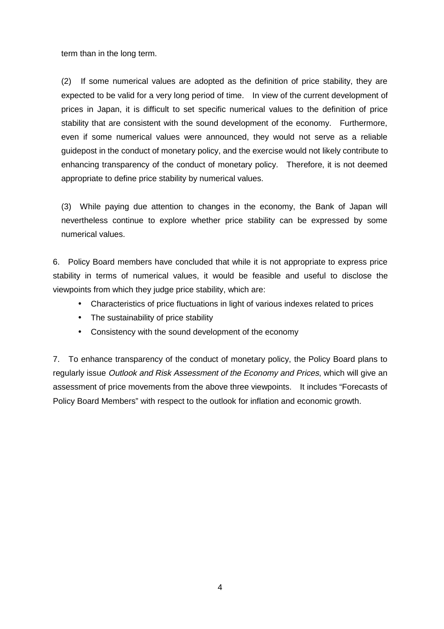term than in the long term.

(2) If some numerical values are adopted as the definition of price stability, they are expected to be valid for a very long period of time. In view of the current development of prices in Japan, it is difficult to set specific numerical values to the definition of price stability that are consistent with the sound development of the economy. Furthermore, even if some numerical values were announced, they would not serve as a reliable guidepost in the conduct of monetary policy, and the exercise would not likely contribute to enhancing transparency of the conduct of monetary policy. Therefore, it is not deemed appropriate to define price stability by numerical values.

(3) While paying due attention to changes in the economy, the Bank of Japan will nevertheless continue to explore whether price stability can be expressed by some numerical values.

6. Policy Board members have concluded that while it is not appropriate to express price stability in terms of numerical values, it would be feasible and useful to disclose the viewpoints from which they judge price stability, which are:

- Characteristics of price fluctuations in light of various indexes related to prices
- The sustainability of price stability
- Consistency with the sound development of the economy

7. To enhance transparency of the conduct of monetary policy, the Policy Board plans to regularly issue Outlook and Risk Assessment of the Economy and Prices, which will give an assessment of price movements from the above three viewpoints. It includes "Forecasts of Policy Board Members" with respect to the outlook for inflation and economic growth.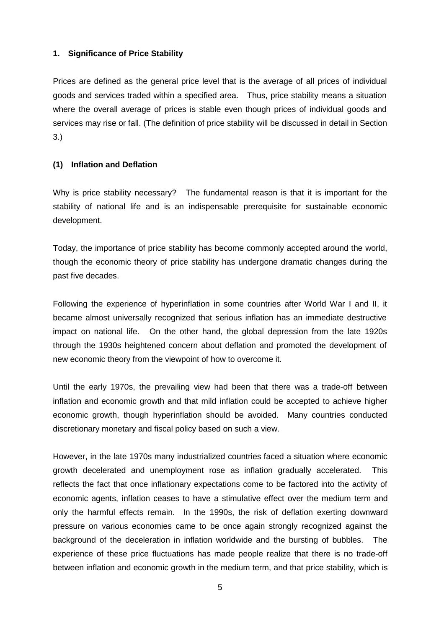## **1. Significance of Price Stability**

Prices are defined as the general price level that is the average of all prices of individual goods and services traded within a specified area. Thus, price stability means a situation where the overall average of prices is stable even though prices of individual goods and services may rise or fall. (The definition of price stability will be discussed in detail in Section 3.)

# **(1) Inflation and Deflation**

Why is price stability necessary? The fundamental reason is that it is important for the stability of national life and is an indispensable prerequisite for sustainable economic development.

Today, the importance of price stability has become commonly accepted around the world, though the economic theory of price stability has undergone dramatic changes during the past five decades.

Following the experience of hyperinflation in some countries after World War I and II, it became almost universally recognized that serious inflation has an immediate destructive impact on national life. On the other hand, the global depression from the late 1920s through the 1930s heightened concern about deflation and promoted the development of new economic theory from the viewpoint of how to overcome it.

Until the early 1970s, the prevailing view had been that there was a trade-off between inflation and economic growth and that mild inflation could be accepted to achieve higher economic growth, though hyperinflation should be avoided. Many countries conducted discretionary monetary and fiscal policy based on such a view.

However, in the late 1970s many industrialized countries faced a situation where economic growth decelerated and unemployment rose as inflation gradually accelerated. This reflects the fact that once inflationary expectations come to be factored into the activity of economic agents, inflation ceases to have a stimulative effect over the medium term and only the harmful effects remain. In the 1990s, the risk of deflation exerting downward pressure on various economies came to be once again strongly recognized against the background of the deceleration in inflation worldwide and the bursting of bubbles. The experience of these price fluctuations has made people realize that there is no trade-off between inflation and economic growth in the medium term, and that price stability, which is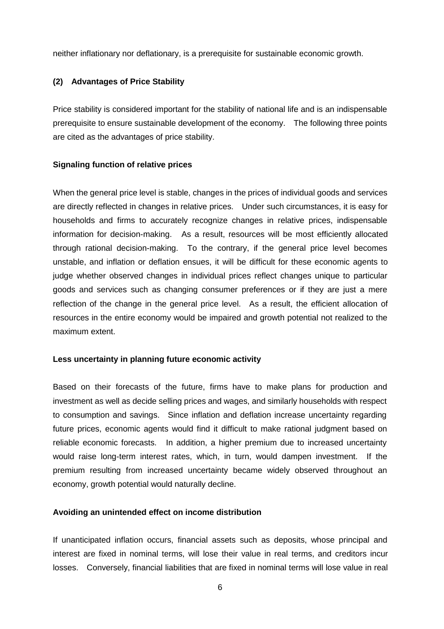neither inflationary nor deflationary, is a prerequisite for sustainable economic growth.

## **(2) Advantages of Price Stability**

Price stability is considered important for the stability of national life and is an indispensable prerequisite to ensure sustainable development of the economy. The following three points are cited as the advantages of price stability.

#### **Signaling function of relative prices**

When the general price level is stable, changes in the prices of individual goods and services are directly reflected in changes in relative prices. Under such circumstances, it is easy for households and firms to accurately recognize changes in relative prices, indispensable information for decision-making. As a result, resources will be most efficiently allocated through rational decision-making. To the contrary, if the general price level becomes unstable, and inflation or deflation ensues, it will be difficult for these economic agents to judge whether observed changes in individual prices reflect changes unique to particular goods and services such as changing consumer preferences or if they are just a mere reflection of the change in the general price level. As a result, the efficient allocation of resources in the entire economy would be impaired and growth potential not realized to the maximum extent.

#### **Less uncertainty in planning future economic activity**

Based on their forecasts of the future, firms have to make plans for production and investment as well as decide selling prices and wages, and similarly households with respect to consumption and savings. Since inflation and deflation increase uncertainty regarding future prices, economic agents would find it difficult to make rational judgment based on reliable economic forecasts. In addition, a higher premium due to increased uncertainty would raise long-term interest rates, which, in turn, would dampen investment. If the premium resulting from increased uncertainty became widely observed throughout an economy, growth potential would naturally decline.

#### **Avoiding an unintended effect on income distribution**

If unanticipated inflation occurs, financial assets such as deposits, whose principal and interest are fixed in nominal terms, will lose their value in real terms, and creditors incur losses. Conversely, financial liabilities that are fixed in nominal terms will lose value in real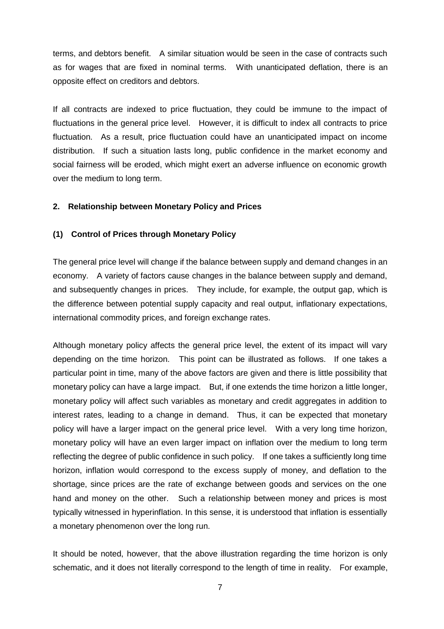terms, and debtors benefit. A similar situation would be seen in the case of contracts such as for wages that are fixed in nominal terms. With unanticipated deflation, there is an opposite effect on creditors and debtors.

If all contracts are indexed to price fluctuation, they could be immune to the impact of fluctuations in the general price level. However, it is difficult to index all contracts to price fluctuation. As a result, price fluctuation could have an unanticipated impact on income distribution. If such a situation lasts long, public confidence in the market economy and social fairness will be eroded, which might exert an adverse influence on economic growth over the medium to long term.

#### **2. Relationship between Monetary Policy and Prices**

#### **(1) Control of Prices through Monetary Policy**

The general price level will change if the balance between supply and demand changes in an economy. A variety of factors cause changes in the balance between supply and demand, and subsequently changes in prices. They include, for example, the output gap, which is the difference between potential supply capacity and real output, inflationary expectations, international commodity prices, and foreign exchange rates.

Although monetary policy affects the general price level, the extent of its impact will vary depending on the time horizon. This point can be illustrated as follows. If one takes a particular point in time, many of the above factors are given and there is little possibility that monetary policy can have a large impact. But, if one extends the time horizon a little longer, monetary policy will affect such variables as monetary and credit aggregates in addition to interest rates, leading to a change in demand. Thus, it can be expected that monetary policy will have a larger impact on the general price level. With a very long time horizon, monetary policy will have an even larger impact on inflation over the medium to long term reflecting the degree of public confidence in such policy. If one takes a sufficiently long time horizon, inflation would correspond to the excess supply of money, and deflation to the shortage, since prices are the rate of exchange between goods and services on the one hand and money on the other. Such a relationship between money and prices is most typically witnessed in hyperinflation. In this sense, it is understood that inflation is essentially a monetary phenomenon over the long run.

It should be noted, however, that the above illustration regarding the time horizon is only schematic, and it does not literally correspond to the length of time in reality. For example,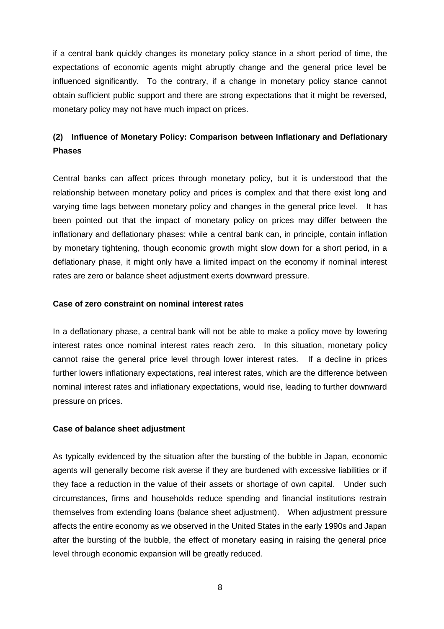if a central bank quickly changes its monetary policy stance in a short period of time, the expectations of economic agents might abruptly change and the general price level be influenced significantly. To the contrary, if a change in monetary policy stance cannot obtain sufficient public support and there are strong expectations that it might be reversed, monetary policy may not have much impact on prices.

# **(2) Influence of Monetary Policy: Comparison between Inflationary and Deflationary Phases**

Central banks can affect prices through monetary policy, but it is understood that the relationship between monetary policy and prices is complex and that there exist long and varying time lags between monetary policy and changes in the general price level. It has been pointed out that the impact of monetary policy on prices may differ between the inflationary and deflationary phases: while a central bank can, in principle, contain inflation by monetary tightening, though economic growth might slow down for a short period, in a deflationary phase, it might only have a limited impact on the economy if nominal interest rates are zero or balance sheet adjustment exerts downward pressure.

#### **Case of zero constraint on nominal interest rates**

In a deflationary phase, a central bank will not be able to make a policy move by lowering interest rates once nominal interest rates reach zero. In this situation, monetary policy cannot raise the general price level through lower interest rates. If a decline in prices further lowers inflationary expectations, real interest rates, which are the difference between nominal interest rates and inflationary expectations, would rise, leading to further downward pressure on prices.

## **Case of balance sheet adjustment**

As typically evidenced by the situation after the bursting of the bubble in Japan, economic agents will generally become risk averse if they are burdened with excessive liabilities or if they face a reduction in the value of their assets or shortage of own capital. Under such circumstances, firms and households reduce spending and financial institutions restrain themselves from extending loans (balance sheet adjustment). When adjustment pressure affects the entire economy as we observed in the United States in the early 1990s and Japan after the bursting of the bubble, the effect of monetary easing in raising the general price level through economic expansion will be greatly reduced.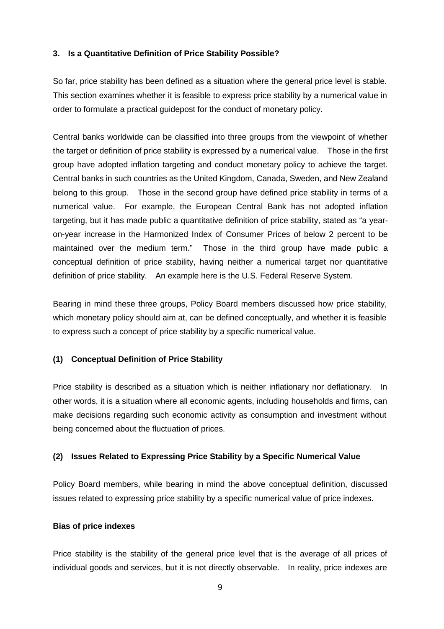## **3. Is a Quantitative Definition of Price Stability Possible?**

So far, price stability has been defined as a situation where the general price level is stable. This section examines whether it is feasible to express price stability by a numerical value in order to formulate a practical guidepost for the conduct of monetary policy.

Central banks worldwide can be classified into three groups from the viewpoint of whether the target or definition of price stability is expressed by a numerical value. Those in the first group have adopted inflation targeting and conduct monetary policy to achieve the target. Central banks in such countries as the United Kingdom, Canada, Sweden, and New Zealand belong to this group. Those in the second group have defined price stability in terms of a numerical value. For example, the European Central Bank has not adopted inflation targeting, but it has made public a quantitative definition of price stability, stated as "a yearon-year increase in the Harmonized Index of Consumer Prices of below 2 percent to be maintained over the medium term." Those in the third group have made public a conceptual definition of price stability, having neither a numerical target nor quantitative definition of price stability. An example here is the U.S. Federal Reserve System.

Bearing in mind these three groups, Policy Board members discussed how price stability, which monetary policy should aim at, can be defined conceptually, and whether it is feasible to express such a concept of price stability by a specific numerical value.

## **(1) Conceptual Definition of Price Stability**

Price stability is described as a situation which is neither inflationary nor deflationary. In other words, it is a situation where all economic agents, including households and firms, can make decisions regarding such economic activity as consumption and investment without being concerned about the fluctuation of prices.

## **(2) Issues Related to Expressing Price Stability by a Specific Numerical Value**

Policy Board members, while bearing in mind the above conceptual definition, discussed issues related to expressing price stability by a specific numerical value of price indexes.

## **Bias of price indexes**

Price stability is the stability of the general price level that is the average of all prices of individual goods and services, but it is not directly observable. In reality, price indexes are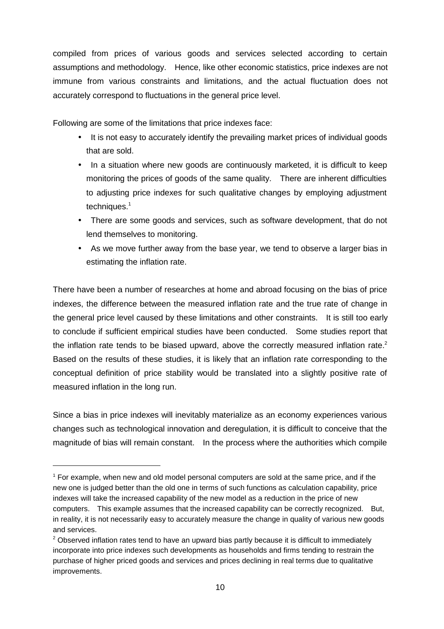compiled from prices of various goods and services selected according to certain assumptions and methodology. Hence, like other economic statistics, price indexes are not immune from various constraints and limitations, and the actual fluctuation does not accurately correspond to fluctuations in the general price level.

Following are some of the limitations that price indexes face:

- It is not easy to accurately identify the prevailing market prices of individual goods that are sold.
- In a situation where new goods are continuously marketed, it is difficult to keep monitoring the prices of goods of the same quality. There are inherent difficulties to adjusting price indexes for such qualitative changes by employing adjustment techniques.<sup>1</sup>
- There are some goods and services, such as software development, that do not lend themselves to monitoring.
- As we move further away from the base year, we tend to observe a larger bias in estimating the inflation rate.

There have been a number of researches at home and abroad focusing on the bias of price indexes, the difference between the measured inflation rate and the true rate of change in the general price level caused by these limitations and other constraints. It is still too early to conclude if sufficient empirical studies have been conducted. Some studies report that the inflation rate tends to be biased upward, above the correctly measured inflation rate.<sup>2</sup> Based on the results of these studies, it is likely that an inflation rate corresponding to the conceptual definition of price stability would be translated into a slightly positive rate of measured inflation in the long run.

Since a bias in price indexes will inevitably materialize as an economy experiences various changes such as technological innovation and deregulation, it is difficult to conceive that the magnitude of bias will remain constant. In the process where the authorities which compile

 $1$  For example, when new and old model personal computers are sold at the same price, and if the new one is judged better than the old one in terms of such functions as calculation capability, price indexes will take the increased capability of the new model as a reduction in the price of new computers. This example assumes that the increased capability can be correctly recognized. But, in reality, it is not necessarily easy to accurately measure the change in quality of various new goods and services.

 $2$  Observed inflation rates tend to have an upward bias partly because it is difficult to immediately incorporate into price indexes such developments as households and firms tending to restrain the purchase of higher priced goods and services and prices declining in real terms due to qualitative improvements.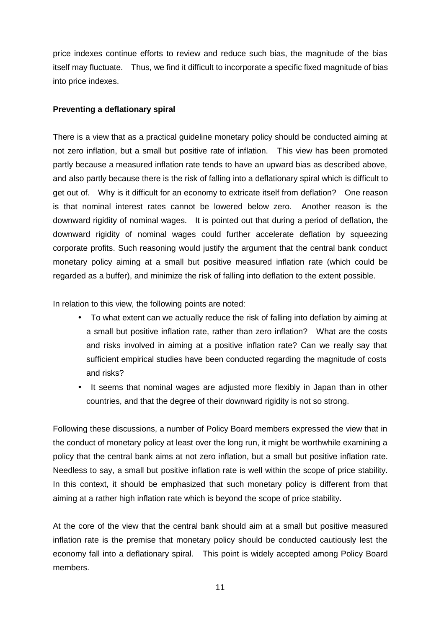price indexes continue efforts to review and reduce such bias, the magnitude of the bias itself may fluctuate. Thus, we find it difficult to incorporate a specific fixed magnitude of bias into price indexes.

### **Preventing a deflationary spiral**

There is a view that as a practical guideline monetary policy should be conducted aiming at not zero inflation, but a small but positive rate of inflation. This view has been promoted partly because a measured inflation rate tends to have an upward bias as described above, and also partly because there is the risk of falling into a deflationary spiral which is difficult to get out of. Why is it difficult for an economy to extricate itself from deflation? One reason is that nominal interest rates cannot be lowered below zero. Another reason is the downward rigidity of nominal wages. It is pointed out that during a period of deflation, the downward rigidity of nominal wages could further accelerate deflation by squeezing corporate profits. Such reasoning would justify the argument that the central bank conduct monetary policy aiming at a small but positive measured inflation rate (which could be regarded as a buffer), and minimize the risk of falling into deflation to the extent possible.

In relation to this view, the following points are noted:

- To what extent can we actually reduce the risk of falling into deflation by aiming at a small but positive inflation rate, rather than zero inflation? What are the costs and risks involved in aiming at a positive inflation rate? Can we really say that sufficient empirical studies have been conducted regarding the magnitude of costs and risks?
- It seems that nominal wages are adjusted more flexibly in Japan than in other countries, and that the degree of their downward rigidity is not so strong.

Following these discussions, a number of Policy Board members expressed the view that in the conduct of monetary policy at least over the long run, it might be worthwhile examining a policy that the central bank aims at not zero inflation, but a small but positive inflation rate. Needless to say, a small but positive inflation rate is well within the scope of price stability. In this context, it should be emphasized that such monetary policy is different from that aiming at a rather high inflation rate which is beyond the scope of price stability.

At the core of the view that the central bank should aim at a small but positive measured inflation rate is the premise that monetary policy should be conducted cautiously lest the economy fall into a deflationary spiral. This point is widely accepted among Policy Board members.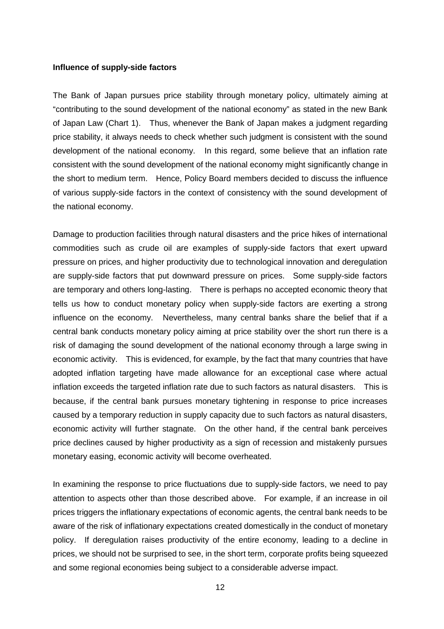#### **Influence of supply-side factors**

The Bank of Japan pursues price stability through monetary policy, ultimately aiming at "contributing to the sound development of the national economy" as stated in the new Bank of Japan Law (Chart 1). Thus, whenever the Bank of Japan makes a judgment regarding price stability, it always needs to check whether such judgment is consistent with the sound development of the national economy. In this regard, some believe that an inflation rate consistent with the sound development of the national economy might significantly change in the short to medium term. Hence, Policy Board members decided to discuss the influence of various supply-side factors in the context of consistency with the sound development of the national economy.

Damage to production facilities through natural disasters and the price hikes of international commodities such as crude oil are examples of supply-side factors that exert upward pressure on prices, and higher productivity due to technological innovation and deregulation are supply-side factors that put downward pressure on prices. Some supply-side factors are temporary and others long-lasting. There is perhaps no accepted economic theory that tells us how to conduct monetary policy when supply-side factors are exerting a strong influence on the economy. Nevertheless, many central banks share the belief that if a central bank conducts monetary policy aiming at price stability over the short run there is a risk of damaging the sound development of the national economy through a large swing in economic activity. This is evidenced, for example, by the fact that many countries that have adopted inflation targeting have made allowance for an exceptional case where actual inflation exceeds the targeted inflation rate due to such factors as natural disasters. This is because, if the central bank pursues monetary tightening in response to price increases caused by a temporary reduction in supply capacity due to such factors as natural disasters, economic activity will further stagnate. On the other hand, if the central bank perceives price declines caused by higher productivity as a sign of recession and mistakenly pursues monetary easing, economic activity will become overheated.

In examining the response to price fluctuations due to supply-side factors, we need to pay attention to aspects other than those described above. For example, if an increase in oil prices triggers the inflationary expectations of economic agents, the central bank needs to be aware of the risk of inflationary expectations created domestically in the conduct of monetary policy. If deregulation raises productivity of the entire economy, leading to a decline in prices, we should not be surprised to see, in the short term, corporate profits being squeezed and some regional economies being subject to a considerable adverse impact.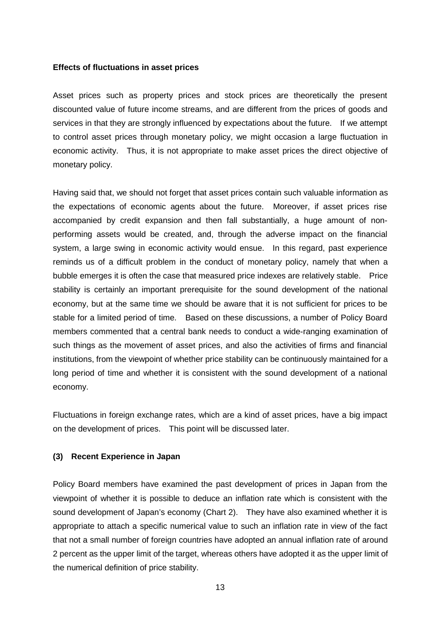#### **Effects of fluctuations in asset prices**

Asset prices such as property prices and stock prices are theoretically the present discounted value of future income streams, and are different from the prices of goods and services in that they are strongly influenced by expectations about the future. If we attempt to control asset prices through monetary policy, we might occasion a large fluctuation in economic activity. Thus, it is not appropriate to make asset prices the direct objective of monetary policy.

Having said that, we should not forget that asset prices contain such valuable information as the expectations of economic agents about the future. Moreover, if asset prices rise accompanied by credit expansion and then fall substantially, a huge amount of nonperforming assets would be created, and, through the adverse impact on the financial system, a large swing in economic activity would ensue. In this regard, past experience reminds us of a difficult problem in the conduct of monetary policy, namely that when a bubble emerges it is often the case that measured price indexes are relatively stable. Price stability is certainly an important prerequisite for the sound development of the national economy, but at the same time we should be aware that it is not sufficient for prices to be stable for a limited period of time. Based on these discussions, a number of Policy Board members commented that a central bank needs to conduct a wide-ranging examination of such things as the movement of asset prices, and also the activities of firms and financial institutions, from the viewpoint of whether price stability can be continuously maintained for a long period of time and whether it is consistent with the sound development of a national economy.

Fluctuations in foreign exchange rates, which are a kind of asset prices, have a big impact on the development of prices. This point will be discussed later.

#### **(3) Recent Experience in Japan**

Policy Board members have examined the past development of prices in Japan from the viewpoint of whether it is possible to deduce an inflation rate which is consistent with the sound development of Japan's economy (Chart 2). They have also examined whether it is appropriate to attach a specific numerical value to such an inflation rate in view of the fact that not a small number of foreign countries have adopted an annual inflation rate of around 2 percent as the upper limit of the target, whereas others have adopted it as the upper limit of the numerical definition of price stability.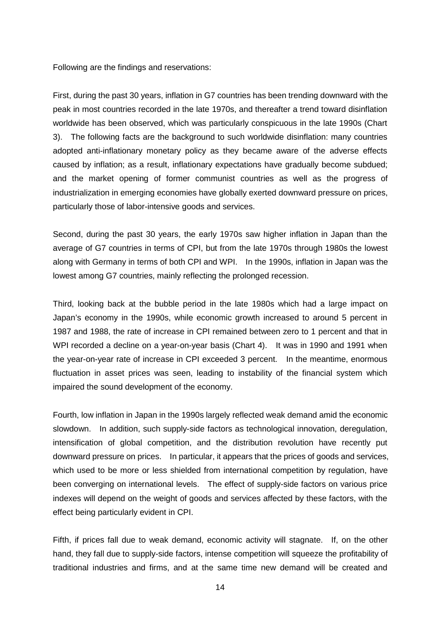Following are the findings and reservations:

First, during the past 30 years, inflation in G7 countries has been trending downward with the peak in most countries recorded in the late 1970s, and thereafter a trend toward disinflation worldwide has been observed, which was particularly conspicuous in the late 1990s (Chart 3). The following facts are the background to such worldwide disinflation: many countries adopted anti-inflationary monetary policy as they became aware of the adverse effects caused by inflation; as a result, inflationary expectations have gradually become subdued; and the market opening of former communist countries as well as the progress of industrialization in emerging economies have globally exerted downward pressure on prices, particularly those of labor-intensive goods and services.

Second, during the past 30 years, the early 1970s saw higher inflation in Japan than the average of G7 countries in terms of CPI, but from the late 1970s through 1980s the lowest along with Germany in terms of both CPI and WPI. In the 1990s, inflation in Japan was the lowest among G7 countries, mainly reflecting the prolonged recession.

Third, looking back at the bubble period in the late 1980s which had a large impact on Japan's economy in the 1990s, while economic growth increased to around 5 percent in 1987 and 1988, the rate of increase in CPI remained between zero to 1 percent and that in WPI recorded a decline on a year-on-year basis (Chart 4). It was in 1990 and 1991 when the year-on-year rate of increase in CPI exceeded 3 percent. In the meantime, enormous fluctuation in asset prices was seen, leading to instability of the financial system which impaired the sound development of the economy.

Fourth, low inflation in Japan in the 1990s largely reflected weak demand amid the economic slowdown. In addition, such supply-side factors as technological innovation, deregulation, intensification of global competition, and the distribution revolution have recently put downward pressure on prices. In particular, it appears that the prices of goods and services, which used to be more or less shielded from international competition by regulation, have been converging on international levels. The effect of supply-side factors on various price indexes will depend on the weight of goods and services affected by these factors, with the effect being particularly evident in CPI.

Fifth, if prices fall due to weak demand, economic activity will stagnate. If, on the other hand, they fall due to supply-side factors, intense competition will squeeze the profitability of traditional industries and firms, and at the same time new demand will be created and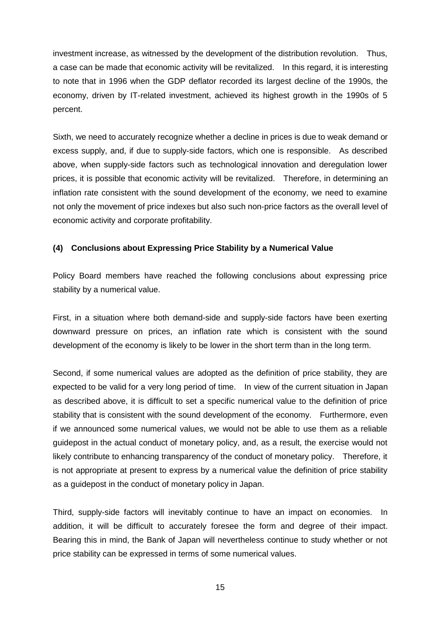investment increase, as witnessed by the development of the distribution revolution. Thus, a case can be made that economic activity will be revitalized. In this regard, it is interesting to note that in 1996 when the GDP deflator recorded its largest decline of the 1990s, the economy, driven by IT-related investment, achieved its highest growth in the 1990s of 5 percent.

Sixth, we need to accurately recognize whether a decline in prices is due to weak demand or excess supply, and, if due to supply-side factors, which one is responsible. As described above, when supply-side factors such as technological innovation and deregulation lower prices, it is possible that economic activity will be revitalized. Therefore, in determining an inflation rate consistent with the sound development of the economy, we need to examine not only the movement of price indexes but also such non-price factors as the overall level of economic activity and corporate profitability.

# **(4) Conclusions about Expressing Price Stability by a Numerical Value**

Policy Board members have reached the following conclusions about expressing price stability by a numerical value.

First, in a situation where both demand-side and supply-side factors have been exerting downward pressure on prices, an inflation rate which is consistent with the sound development of the economy is likely to be lower in the short term than in the long term.

Second, if some numerical values are adopted as the definition of price stability, they are expected to be valid for a very long period of time. In view of the current situation in Japan as described above, it is difficult to set a specific numerical value to the definition of price stability that is consistent with the sound development of the economy. Furthermore, even if we announced some numerical values, we would not be able to use them as a reliable guidepost in the actual conduct of monetary policy, and, as a result, the exercise would not likely contribute to enhancing transparency of the conduct of monetary policy. Therefore, it is not appropriate at present to express by a numerical value the definition of price stability as a guidepost in the conduct of monetary policy in Japan.

Third, supply-side factors will inevitably continue to have an impact on economies. In addition, it will be difficult to accurately foresee the form and degree of their impact. Bearing this in mind, the Bank of Japan will nevertheless continue to study whether or not price stability can be expressed in terms of some numerical values.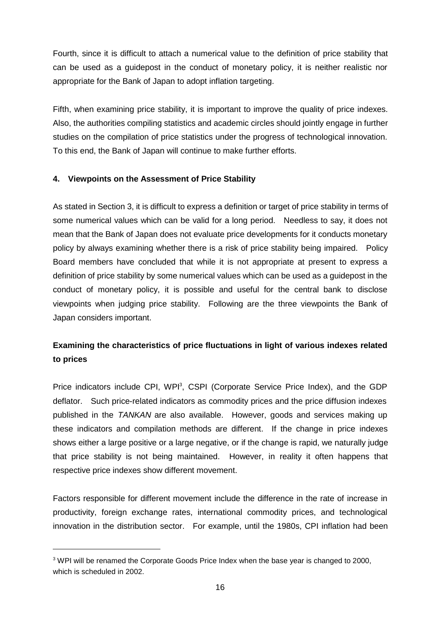Fourth, since it is difficult to attach a numerical value to the definition of price stability that can be used as a guidepost in the conduct of monetary policy, it is neither realistic nor appropriate for the Bank of Japan to adopt inflation targeting.

Fifth, when examining price stability, it is important to improve the quality of price indexes. Also, the authorities compiling statistics and academic circles should jointly engage in further studies on the compilation of price statistics under the progress of technological innovation. To this end, the Bank of Japan will continue to make further efforts.

# **4. Viewpoints on the Assessment of Price Stability**

As stated in Section 3, it is difficult to express a definition or target of price stability in terms of some numerical values which can be valid for a long period. Needless to say, it does not mean that the Bank of Japan does not evaluate price developments for it conducts monetary policy by always examining whether there is a risk of price stability being impaired. Policy Board members have concluded that while it is not appropriate at present to express a definition of price stability by some numerical values which can be used as a guidepost in the conduct of monetary policy, it is possible and useful for the central bank to disclose viewpoints when judging price stability. Following are the three viewpoints the Bank of Japan considers important.

# **Examining the characteristics of price fluctuations in light of various indexes related to prices**

Price indicators include CPI, WPI<sup>3</sup>, CSPI (Corporate Service Price Index), and the GDP deflator. Such price-related indicators as commodity prices and the price diffusion indexes published in the TANKAN are also available. However, goods and services making up these indicators and compilation methods are different. If the change in price indexes shows either a large positive or a large negative, or if the change is rapid, we naturally judge that price stability is not being maintained. However, in reality it often happens that respective price indexes show different movement.

Factors responsible for different movement include the difference in the rate of increase in productivity, foreign exchange rates, international commodity prices, and technological innovation in the distribution sector. For example, until the 1980s, CPI inflation had been

 $3$  WPI will be renamed the Corporate Goods Price Index when the base year is changed to 2000, which is scheduled in 2002.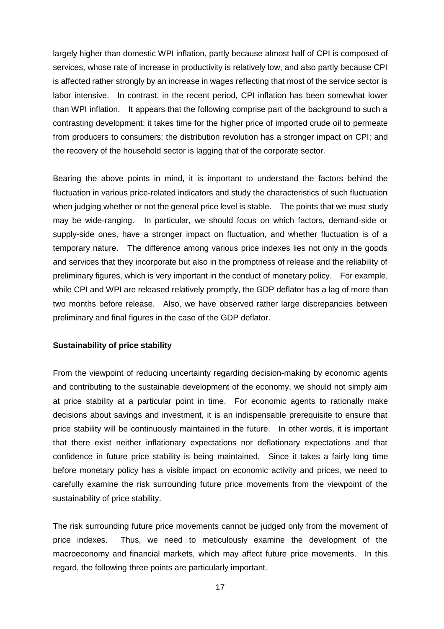largely higher than domestic WPI inflation, partly because almost half of CPI is composed of services, whose rate of increase in productivity is relatively low, and also partly because CPI is affected rather strongly by an increase in wages reflecting that most of the service sector is labor intensive. In contrast, in the recent period, CPI inflation has been somewhat lower than WPI inflation. It appears that the following comprise part of the background to such a contrasting development: it takes time for the higher price of imported crude oil to permeate from producers to consumers; the distribution revolution has a stronger impact on CPI; and the recovery of the household sector is lagging that of the corporate sector.

Bearing the above points in mind, it is important to understand the factors behind the fluctuation in various price-related indicators and study the characteristics of such fluctuation when judging whether or not the general price level is stable. The points that we must study may be wide-ranging. In particular, we should focus on which factors, demand-side or supply-side ones, have a stronger impact on fluctuation, and whether fluctuation is of a temporary nature. The difference among various price indexes lies not only in the goods and services that they incorporate but also in the promptness of release and the reliability of preliminary figures, which is very important in the conduct of monetary policy. For example, while CPI and WPI are released relatively promptly, the GDP deflator has a lag of more than two months before release. Also, we have observed rather large discrepancies between preliminary and final figures in the case of the GDP deflator.

#### **Sustainability of price stability**

From the viewpoint of reducing uncertainty regarding decision-making by economic agents and contributing to the sustainable development of the economy, we should not simply aim at price stability at a particular point in time. For economic agents to rationally make decisions about savings and investment, it is an indispensable prerequisite to ensure that price stability will be continuously maintained in the future. In other words, it is important that there exist neither inflationary expectations nor deflationary expectations and that confidence in future price stability is being maintained. Since it takes a fairly long time before monetary policy has a visible impact on economic activity and prices, we need to carefully examine the risk surrounding future price movements from the viewpoint of the sustainability of price stability.

The risk surrounding future price movements cannot be judged only from the movement of price indexes. Thus, we need to meticulously examine the development of the macroeconomy and financial markets, which may affect future price movements. In this regard, the following three points are particularly important.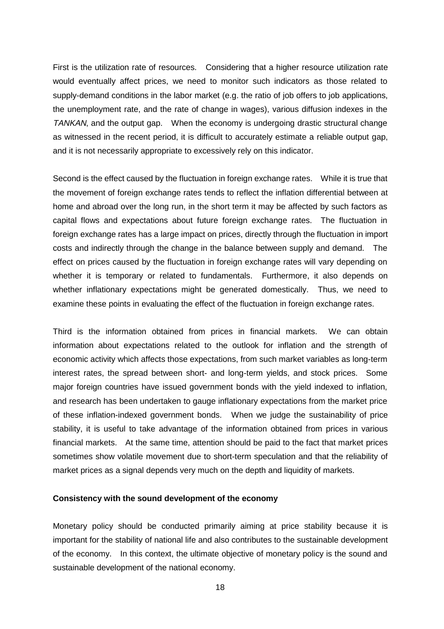First is the utilization rate of resources. Considering that a higher resource utilization rate would eventually affect prices, we need to monitor such indicators as those related to supply-demand conditions in the labor market (e.g. the ratio of job offers to job applications, the unemployment rate, and the rate of change in wages), various diffusion indexes in the TANKAN, and the output gap. When the economy is undergoing drastic structural change as witnessed in the recent period, it is difficult to accurately estimate a reliable output gap, and it is not necessarily appropriate to excessively rely on this indicator.

Second is the effect caused by the fluctuation in foreign exchange rates. While it is true that the movement of foreign exchange rates tends to reflect the inflation differential between at home and abroad over the long run, in the short term it may be affected by such factors as capital flows and expectations about future foreign exchange rates. The fluctuation in foreign exchange rates has a large impact on prices, directly through the fluctuation in import costs and indirectly through the change in the balance between supply and demand. The effect on prices caused by the fluctuation in foreign exchange rates will vary depending on whether it is temporary or related to fundamentals. Furthermore, it also depends on whether inflationary expectations might be generated domestically. Thus, we need to examine these points in evaluating the effect of the fluctuation in foreign exchange rates.

Third is the information obtained from prices in financial markets. We can obtain information about expectations related to the outlook for inflation and the strength of economic activity which affects those expectations, from such market variables as long-term interest rates, the spread between short- and long-term yields, and stock prices. Some major foreign countries have issued government bonds with the yield indexed to inflation, and research has been undertaken to gauge inflationary expectations from the market price of these inflation-indexed government bonds. When we judge the sustainability of price stability, it is useful to take advantage of the information obtained from prices in various financial markets. At the same time, attention should be paid to the fact that market prices sometimes show volatile movement due to short-term speculation and that the reliability of market prices as a signal depends very much on the depth and liquidity of markets.

#### **Consistency with the sound development of the economy**

Monetary policy should be conducted primarily aiming at price stability because it is important for the stability of national life and also contributes to the sustainable development of the economy. In this context, the ultimate objective of monetary policy is the sound and sustainable development of the national economy.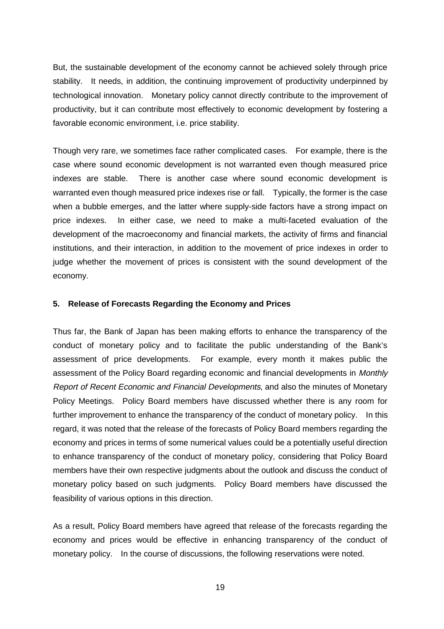But, the sustainable development of the economy cannot be achieved solely through price stability. It needs, in addition, the continuing improvement of productivity underpinned by technological innovation. Monetary policy cannot directly contribute to the improvement of productivity, but it can contribute most effectively to economic development by fostering a favorable economic environment, i.e. price stability.

Though very rare, we sometimes face rather complicated cases. For example, there is the case where sound economic development is not warranted even though measured price indexes are stable. There is another case where sound economic development is warranted even though measured price indexes rise or fall. Typically, the former is the case when a bubble emerges, and the latter where supply-side factors have a strong impact on price indexes. In either case, we need to make a multi-faceted evaluation of the development of the macroeconomy and financial markets, the activity of firms and financial institutions, and their interaction, in addition to the movement of price indexes in order to judge whether the movement of prices is consistent with the sound development of the economy.

#### **5. Release of Forecasts Regarding the Economy and Prices**

Thus far, the Bank of Japan has been making efforts to enhance the transparency of the conduct of monetary policy and to facilitate the public understanding of the Bank's assessment of price developments. For example, every month it makes public the assessment of the Policy Board regarding economic and financial developments in Monthly Report of Recent Economic and Financial Developments, and also the minutes of Monetary Policy Meetings. Policy Board members have discussed whether there is any room for further improvement to enhance the transparency of the conduct of monetary policy. In this regard, it was noted that the release of the forecasts of Policy Board members regarding the economy and prices in terms of some numerical values could be a potentially useful direction to enhance transparency of the conduct of monetary policy, considering that Policy Board members have their own respective judgments about the outlook and discuss the conduct of monetary policy based on such judgments. Policy Board members have discussed the feasibility of various options in this direction.

As a result, Policy Board members have agreed that release of the forecasts regarding the economy and prices would be effective in enhancing transparency of the conduct of monetary policy. In the course of discussions, the following reservations were noted.

19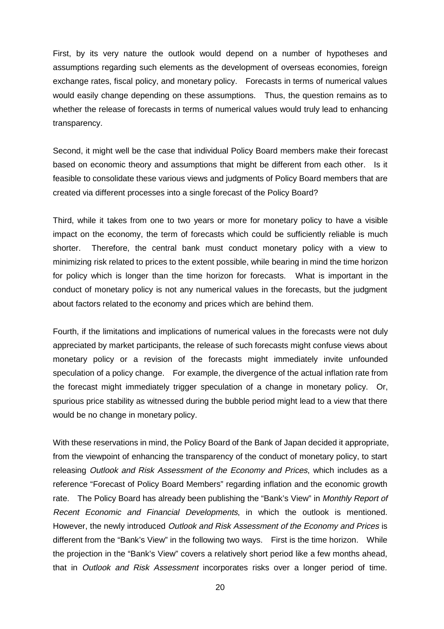First, by its very nature the outlook would depend on a number of hypotheses and assumptions regarding such elements as the development of overseas economies, foreign exchange rates, fiscal policy, and monetary policy. Forecasts in terms of numerical values would easily change depending on these assumptions. Thus, the question remains as to whether the release of forecasts in terms of numerical values would truly lead to enhancing transparency.

Second, it might well be the case that individual Policy Board members make their forecast based on economic theory and assumptions that might be different from each other. Is it feasible to consolidate these various views and judgments of Policy Board members that are created via different processes into a single forecast of the Policy Board?

Third, while it takes from one to two years or more for monetary policy to have a visible impact on the economy, the term of forecasts which could be sufficiently reliable is much shorter. Therefore, the central bank must conduct monetary policy with a view to minimizing risk related to prices to the extent possible, while bearing in mind the time horizon for policy which is longer than the time horizon for forecasts. What is important in the conduct of monetary policy is not any numerical values in the forecasts, but the judgment about factors related to the economy and prices which are behind them.

Fourth, if the limitations and implications of numerical values in the forecasts were not duly appreciated by market participants, the release of such forecasts might confuse views about monetary policy or a revision of the forecasts might immediately invite unfounded speculation of a policy change. For example, the divergence of the actual inflation rate from the forecast might immediately trigger speculation of a change in monetary policy. Or, spurious price stability as witnessed during the bubble period might lead to a view that there would be no change in monetary policy.

With these reservations in mind, the Policy Board of the Bank of Japan decided it appropriate, from the viewpoint of enhancing the transparency of the conduct of monetary policy, to start releasing Outlook and Risk Assessment of the Economy and Prices, which includes as a reference "Forecast of Policy Board Members" regarding inflation and the economic growth rate. The Policy Board has already been publishing the "Bank's View" in Monthly Report of Recent Economic and Financial Developments, in which the outlook is mentioned. However, the newly introduced Outlook and Risk Assessment of the Economy and Prices is different from the "Bank's View" in the following two ways. First is the time horizon. While the projection in the "Bank's View" covers a relatively short period like a few months ahead, that in Outlook and Risk Assessment incorporates risks over a longer period of time.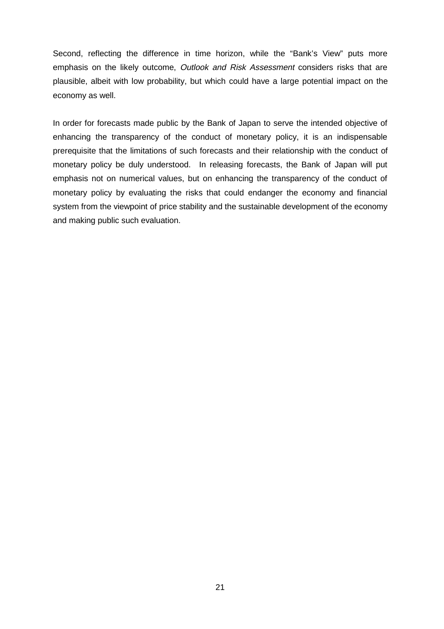Second, reflecting the difference in time horizon, while the "Bank's View" puts more emphasis on the likely outcome, Outlook and Risk Assessment considers risks that are plausible, albeit with low probability, but which could have a large potential impact on the economy as well.

In order for forecasts made public by the Bank of Japan to serve the intended objective of enhancing the transparency of the conduct of monetary policy, it is an indispensable prerequisite that the limitations of such forecasts and their relationship with the conduct of monetary policy be duly understood. In releasing forecasts, the Bank of Japan will put emphasis not on numerical values, but on enhancing the transparency of the conduct of monetary policy by evaluating the risks that could endanger the economy and financial system from the viewpoint of price stability and the sustainable development of the economy and making public such evaluation.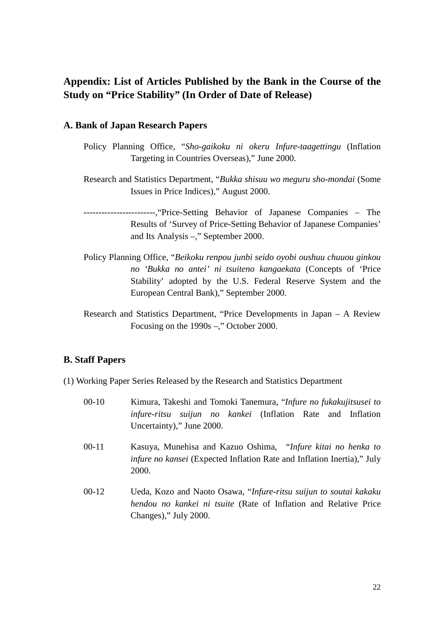# **Appendix: List of Articles Published by the Bank in the Course of the Study on "Price Stability" (In Order of Date of Release)**

# **A. Bank of Japan Research Papers**

- Policy Planning Office, "*Sho-gaikoku ni okeru Infure-taagettingu* (Inflation Targeting in Countries Overseas)," June 2000.
- Research and Statistics Department, "*Bukka shisuu wo meguru sho-mondai* (Some Issues in Price Indices)," August 2000.

------------------------,"Price-Setting Behavior of Japanese Companies – The Results of 'Survey of Price-Setting Behavior of Japanese Companies' and Its Analysis –," September 2000.

- Policy Planning Office, "*Beikoku renpou junbi seido oyobi oushuu chuuou ginkou no 'Bukka no antei' ni tsuiteno kangaekata* (Concepts of 'Price Stability' adopted by the U.S. Federal Reserve System and the European Central Bank)," September 2000.
- Research and Statistics Department, "Price Developments in Japan A Review Focusing on the 1990s –," October 2000.

# **B. Staff Papers**

- (1) Working Paper Series Released by the Research and Statistics Department
	- 00-10 Kimura, Takeshi and Tomoki Tanemura, "*Infure no fukakujitsusei to infure-ritsu suijun no kankei* (Inflation Rate and Inflation Uncertainty)," June 2000.
	- 00-11 Kasuya, Munehisa and Kazuo Oshima, "*Infure kitai no henka to infure no kansei* (Expected Inflation Rate and Inflation Inertia)," July 2000.
	- 00-12 Ueda, Kozo and Naoto Osawa, "*Infure-ritsu suijun to soutai kakaku hendou no kankei ni tsuite* (Rate of Inflation and Relative Price Changes)," July 2000.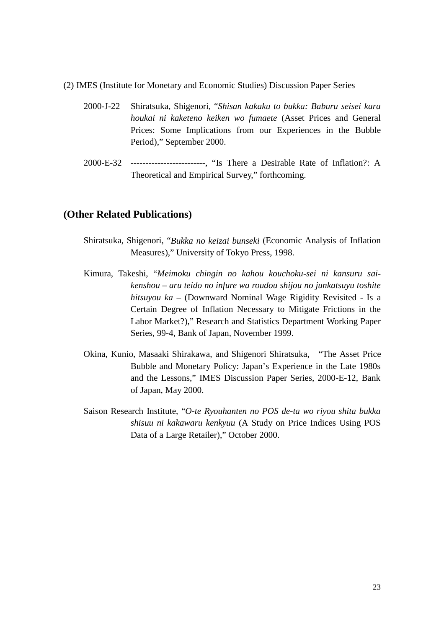- (2) IMES (Institute for Monetary and Economic Studies) Discussion Paper Series
	- 2000-J-22 Shiratsuka, Shigenori, "*Shisan kakaku to bukka: Baburu seisei kara houkai ni kaketeno keiken wo fumaete* (Asset Prices and General Prices: Some Implications from our Experiences in the Bubble Period)," September 2000.
	- 2000-E-32 -------------------------, "Is There a Desirable Rate of Inflation?: A Theoretical and Empirical Survey," forthcoming.

# **(Other Related Publications)**

- Shiratsuka, Shigenori, "*Bukka no keizai bunseki* (Economic Analysis of Inflation Measures)," University of Tokyo Press, 1998.
- Kimura, Takeshi, "*Meimoku chingin no kahou kouchoku-sei ni kansuru saikenshou – aru teido no infure wa roudou shijou no junkatsuyu toshite hitsuyou ka –* (Downward Nominal Wage Rigidity Revisited - Is a Certain Degree of Inflation Necessary to Mitigate Frictions in the Labor Market?)," Research and Statistics Department Working Paper Series, 99-4, Bank of Japan, November 1999.
- Okina, Kunio, Masaaki Shirakawa, and Shigenori Shiratsuka, "The Asset Price Bubble and Monetary Policy: Japan's Experience in the Late 1980s and the Lessons," IMES Discussion Paper Series, 2000-E-12, Bank of Japan, May 2000.
- Saison Research Institute, "*O-te Ryouhanten no POS de-ta wo riyou shita bukka shisuu ni kakawaru kenkyuu* (A Study on Price Indices Using POS Data of a Large Retailer)," October 2000.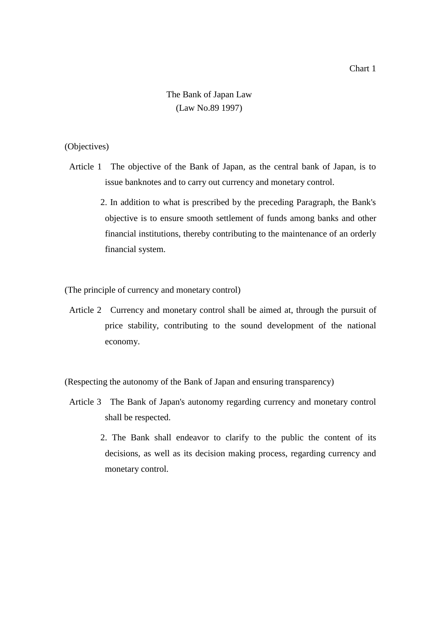# The Bank of Japan Law (Law No.89 1997)

### (Objectives)

- Article 1 The objective of the Bank of Japan, as the central bank of Japan, is to issue banknotes and to carry out currency and monetary control.
	- 2. In addition to what is prescribed by the preceding Paragraph, the Bank's objective is to ensure smooth settlement of funds among banks and other financial institutions, thereby contributing to the maintenance of an orderly financial system.

(The principle of currency and monetary control)

Article 2 Currency and monetary control shall be aimed at, through the pursuit of price stability, contributing to the sound development of the national economy.

(Respecting the autonomy of the Bank of Japan and ensuring transparency)

- Article 3 The Bank of Japan's autonomy regarding currency and monetary control shall be respected.
	- 2. The Bank shall endeavor to clarify to the public the content of its decisions, as well as its decision making process, regarding currency and monetary control.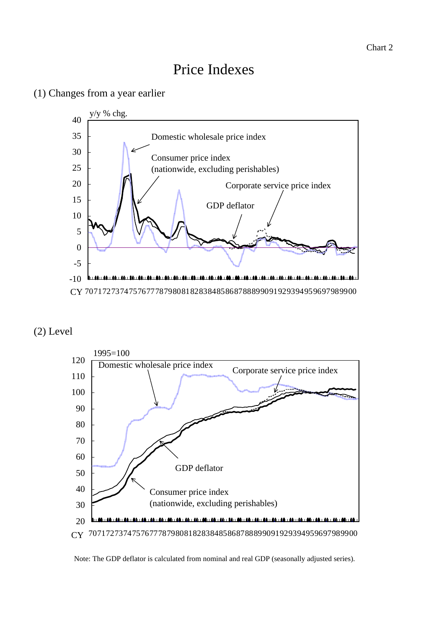# Price Indexes

# (1) Changes from a year earlier



# (2) Level



Note: The GDP deflator is calculated from nominal and real GDP (seasonally adjusted series).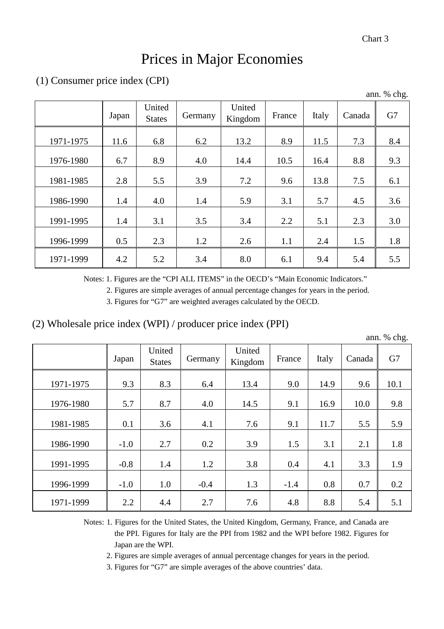# Prices in Major Economies

# (1) Consumer price index (CPI)

| ann. % chg. |       |                         |         |                   |        |       |        |     |  |  |  |
|-------------|-------|-------------------------|---------|-------------------|--------|-------|--------|-----|--|--|--|
|             | Japan | United<br><b>States</b> | Germany | United<br>Kingdom | France | Italy | Canada | G7  |  |  |  |
| 1971-1975   | 11.6  | 6.8                     | 6.2     | 13.2              | 8.9    | 11.5  | 7.3    | 8.4 |  |  |  |
| 1976-1980   | 6.7   | 8.9                     | 4.0     | 14.4              | 10.5   | 16.4  | 8.8    | 9.3 |  |  |  |
| 1981-1985   | 2.8   | 5.5                     | 3.9     | 7.2               | 9.6    | 13.8  | 7.5    | 6.1 |  |  |  |
| 1986-1990   | 1.4   | 4.0                     | 1.4     | 5.9               | 3.1    | 5.7   | 4.5    | 3.6 |  |  |  |
| 1991-1995   | 1.4   | 3.1                     | 3.5     | 3.4               | 2.2    | 5.1   | 2.3    | 3.0 |  |  |  |
| 1996-1999   | 0.5   | 2.3                     | 1.2     | 2.6               | 1.1    | 2.4   | 1.5    | 1.8 |  |  |  |
| 1971-1999   | 4.2   | 5.2                     | 3.4     | 8.0               | 6.1    | 9.4   | 5.4    | 5.5 |  |  |  |

Notes: 1. Figures are the "CPI ALL ITEMS" in the OECD's "Main Economic Indicators."

2. Figures are simple averages of annual percentage changes for years in the period.

3. Figures for "G7" are weighted averages calculated by the OECD.

# (2) Wholesale price index (WPI) / producer price index (PPI)

|           |        |                         |         |                   |        |       |        | ann. % chg. |
|-----------|--------|-------------------------|---------|-------------------|--------|-------|--------|-------------|
|           | Japan  | United<br><b>States</b> | Germany | United<br>Kingdom | France | Italy | Canada | G7          |
| 1971-1975 | 9.3    | 8.3                     | 6.4     | 13.4              | 9.0    | 14.9  | 9.6    | 10.1        |
| 1976-1980 | 5.7    | 8.7                     | 4.0     | 14.5              | 9.1    | 16.9  | 10.0   | 9.8         |
| 1981-1985 | 0.1    | 3.6                     | 4.1     | 7.6               | 9.1    | 11.7  | 5.5    | 5.9         |
| 1986-1990 | $-1.0$ | 2.7                     | 0.2     | 3.9               | 1.5    | 3.1   | 2.1    | 1.8         |
| 1991-1995 | $-0.8$ | 1.4                     | 1.2     | 3.8               | 0.4    | 4.1   | 3.3    | 1.9         |
| 1996-1999 | $-1.0$ | 1.0                     | $-0.4$  | 1.3               | $-1.4$ | 0.8   | 0.7    | 0.2         |
| 1971-1999 | 2.2    | 4.4                     | 2.7     | 7.6               | 4.8    | 8.8   | 5.4    | 5.1         |

Notes: 1. Figures for the United States, the United Kingdom, Germany, France, and Canada are the PPI. Figures for Italy are the PPI from 1982 and the WPI before 1982. Figures for Japan are the WPI.

2. Figures are simple averages of annual percentage changes for years in the period.

3. Figures for "G7" are simple averages of the above countries' data.